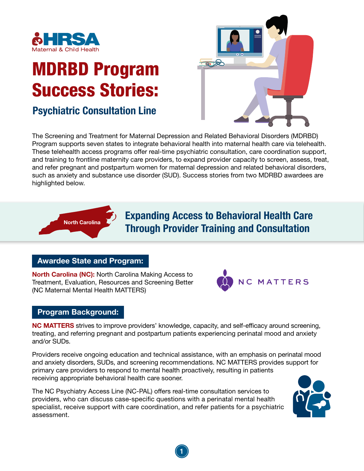

# MDRBD Program Success Stories:

# Psychiatric Consultation Line



The Screening and Treatment for Maternal Depression and Related Behavioral Disorders (MDRBD) Program supports seven states to integrate behavioral health into maternal health care via telehealth. These telehealth access programs offer real-time psychiatric consultation, care coordination support, and training to frontline maternity care providers, to expand provider capacity to screen, assess, treat, and refer pregnant and postpartum women for maternal depression and related behavioral disorders, such as anxiety and substance use disorder (SUD). Success stories from two MDRBD awardees are highlighted below.



# North Carolina **Expanding Access to Behavioral Health Care** Through Provider Training and Consultation

# Awardee State and Program:

North Carolina (NC): North Carolina Making Access to Treatment, Evaluation, Resources and Screening Better (NC Maternal Mental Health MATTERS)



## Program Background:

NC MATTERS strives to improve providers' knowledge, capacity, and self-efficacy around screening, treating, and referring pregnant and postpartum patients experiencing perinatal mood and anxiety and/or SUDs.

Providers receive ongoing education and technical assistance, with an emphasis on perinatal mood and anxiety disorders, SUDs, and screening recommendations. NC MATTERS provides support for primary care providers to respond to mental health proactively, resulting in patients receiving appropriate behavioral health care sooner.

1

The NC Psychiatry Access Line (NC-PAL) offers real-time consultation services to providers, who can discuss case-specific questions with a perinatal mental health specialist, receive support with care coordination, and refer patients for a psychiatric assessment.

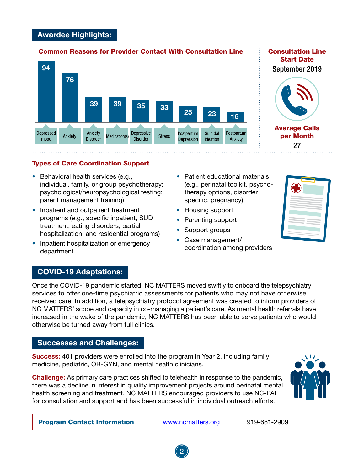## Awardee Highlights:

#### Common Reasons for Provider Contact With Consultation Line



#### Consultation Line Start Date September 2019



Average Calls per Month 27

#### Types of Care Coordination Support

- Behavioral health services (e.g., individual, family, or group psychotherapy; psychological/neuropsychological testing; parent management training)
- Inpatient and outpatient treatment programs (e.g., specific inpatient, SUD treatment, eating disorders, partial hospitalization, and residential programs)
- Inpatient hospitalization or emergency department
- Patient educational materials (e.g., perinatal toolkit, psychotherapy options, disorder specific, pregnancy)
- Housing support
- Parenting support
- Support groups
- Case management/ coordination among providers



# COVID-19 Adaptations:

Once the COVID-19 pandemic started, NC MATTERS moved swiftly to onboard the telepsychiatry services to offer one-time psychiatric assessments for patients who may not have otherwise received care. In addition, a telepsychiatry protocol agreement was created to inform providers of NC MATTERS' scope and capacity in co-managing a patient's care. As mental health referrals have increased in the wake of the pandemic, NC MATTERS has been able to serve patients who would otherwise be turned away from full clinics.

#### Successes and Challenges:

Success: 401 providers were enrolled into the program in Year 2, including family medicine, pediatric, OB-GYN, and mental health clinicians.

Challenge: As primary care practices shifted to telehealth in response to the pandemic, there was a decline in interest in quality improvement projects around perinatal mental health screening and treatment. NC MATTERS encouraged providers to use NC-PAL for consultation and support and has been successful in individual outreach efforts.



Program Contact Information <www.ncmatters.org>919-681-2909

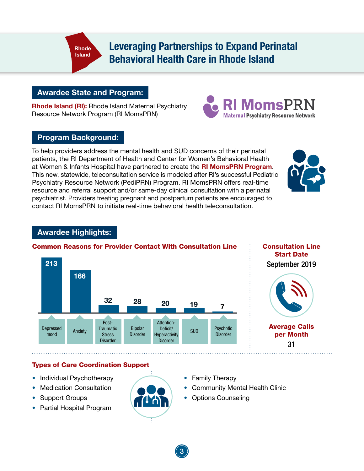Leveraging Partnerships to Expand Perinatal Behavioral Health Care in Rhode Island

# Awardee State and Program:

Rhode Island

Rhode Island (RI): Rhode Island Maternal Psychiatry Resource Network Program (RI MomsPRN)

# Program Background:

To help providers address the mental health and SUD concerns of their perinatal patients, the RI Department of Health and Center for Women's Behavioral Health at Women & Infants Hospital have partnered to create the RI MomsPRN Program. This new, statewide, teleconsultation service is modeled after RI's successful Pediatric Psychiatry Resource Network (PediPRN) Program. RI MomsPRN offers real-time resource and referral support and/or same-day clinical consultation with a perinatal psychiatrist. Providers treating pregnant and postpartum patients are encouraged to contact RI MomsPRN to initiate real-time behavioral health teleconsultation.



MomsPRN

**Maternal Psychiatry Resource Network** 

# Awardee Highlights:



#### Common Reasons for Provider Contact With Consultation Line

Consultation Line Start Date September 2019

# Average Calls per Month 31

Types of Care Coordination Support

- Individual Psychotherapy
- Medication Consultation
- Support Groups
- Partial Hospital Program



- Family Therapy
- Community Mental Health Clinic
- Options Counseling